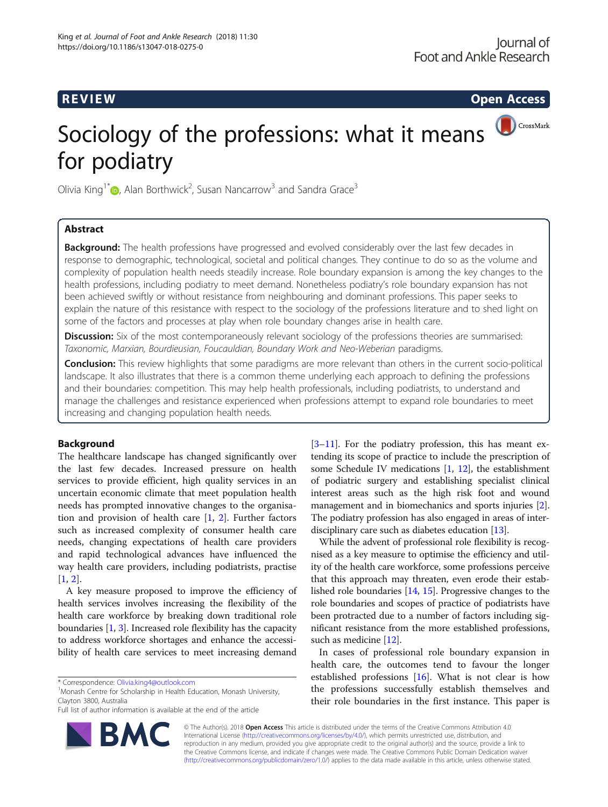R EVI EW Open Access

CrossMark

# Sociology of the professions: what it means for podiatry

Olivia King<sup>1\*</sup> $\textbf{O}$ [,](http://orcid.org/0000-0002-7182-2891) Alan Borthwick<sup>2</sup>, Susan Nancarrow<sup>3</sup> and Sandra Grace<sup>3</sup>

# Abstract

**Background:** The health professions have progressed and evolved considerably over the last few decades in response to demographic, technological, societal and political changes. They continue to do so as the volume and complexity of population health needs steadily increase. Role boundary expansion is among the key changes to the health professions, including podiatry to meet demand. Nonetheless podiatry's role boundary expansion has not been achieved swiftly or without resistance from neighbouring and dominant professions. This paper seeks to explain the nature of this resistance with respect to the sociology of the professions literature and to shed light on some of the factors and processes at play when role boundary changes arise in health care.

**Discussion:** Six of the most contemporaneously relevant sociology of the professions theories are summarised: Taxonomic, Marxian, Bourdieusian, Foucauldian, Boundary Work and Neo-Weberian paradigms.

**Conclusion:** This review highlights that some paradigms are more relevant than others in the current socio-political landscape. It also illustrates that there is a common theme underlying each approach to defining the professions and their boundaries: competition. This may help health professionals, including podiatrists, to understand and manage the challenges and resistance experienced when professions attempt to expand role boundaries to meet increasing and changing population health needs.

# Background

The healthcare landscape has changed significantly over the last few decades. Increased pressure on health services to provide efficient, high quality services in an uncertain economic climate that meet population health needs has prompted innovative changes to the organisation and provision of health care  $[1, 2]$  $[1, 2]$  $[1, 2]$  $[1, 2]$ . Further factors such as increased complexity of consumer health care needs, changing expectations of health care providers and rapid technological advances have influenced the way health care providers, including podiatrists, practise [[1,](#page-6-0) [2\]](#page-6-0).

A key measure proposed to improve the efficiency of health services involves increasing the flexibility of the health care workforce by breaking down traditional role boundaries [[1](#page-6-0), [3\]](#page-6-0). Increased role flexibility has the capacity to address workforce shortages and enhance the accessibility of health care services to meet increasing demand

<sup>1</sup> Monash Centre for Scholarship in Health Education, Monash University, Clayton 3800, Australia

Full list of author information is available at the end of the article



[[3](#page-6-0)–[11](#page-6-0)]. For the podiatry profession, this has meant extending its scope of practice to include the prescription of some Schedule IV medications [[1,](#page-6-0) [12](#page-6-0)], the establishment of podiatric surgery and establishing specialist clinical interest areas such as the high risk foot and wound management and in biomechanics and sports injuries [[2](#page-6-0)]. The podiatry profession has also engaged in areas of interdisciplinary care such as diabetes education [[13\]](#page-6-0).

While the advent of professional role flexibility is recognised as a key measure to optimise the efficiency and utility of the health care workforce, some professions perceive that this approach may threaten, even erode their established role boundaries [\[14](#page-6-0), [15\]](#page-6-0). Progressive changes to the role boundaries and scopes of practice of podiatrists have been protracted due to a number of factors including significant resistance from the more established professions, such as medicine [[12](#page-6-0)].

In cases of professional role boundary expansion in health care, the outcomes tend to favour the longer established professions  $[16]$ . What is not clear is how the professions successfully establish themselves and their role boundaries in the first instance. This paper is

© The Author(s). 2018 Open Access This article is distributed under the terms of the Creative Commons Attribution 4.0 International License [\(http://creativecommons.org/licenses/by/4.0/](http://creativecommons.org/licenses/by/4.0/)), which permits unrestricted use, distribution, and reproduction in any medium, provided you give appropriate credit to the original author(s) and the source, provide a link to the Creative Commons license, and indicate if changes were made. The Creative Commons Public Domain Dedication waiver [\(http://creativecommons.org/publicdomain/zero/1.0/](http://creativecommons.org/publicdomain/zero/1.0/)) applies to the data made available in this article, unless otherwise stated.

<sup>\*</sup> Correspondence: [Olivia.king4@outlook.com](mailto:Olivia.king4@outlook.com) <sup>1</sup>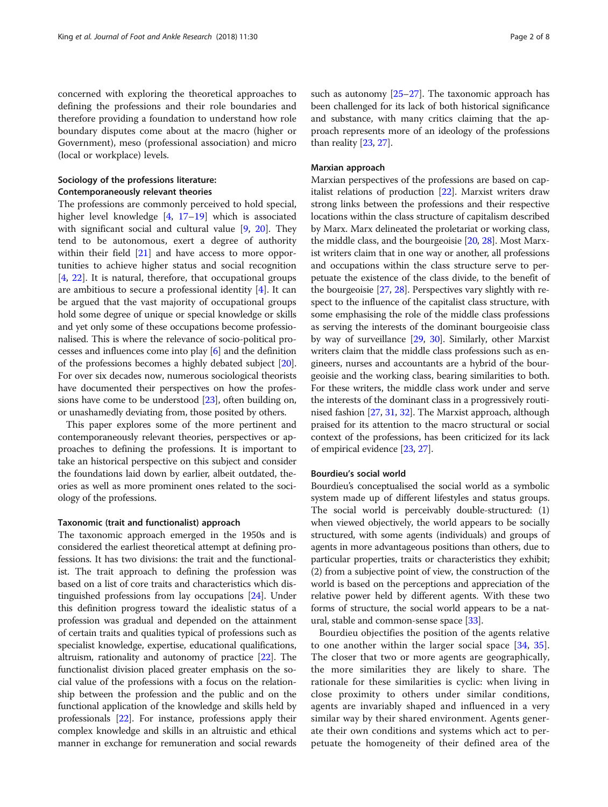concerned with exploring the theoretical approaches to defining the professions and their role boundaries and therefore providing a foundation to understand how role boundary disputes come about at the macro (higher or Government), meso (professional association) and micro (local or workplace) levels.

# Sociology of the professions literature: Contemporaneously relevant theories

The professions are commonly perceived to hold special, higher level knowledge [[4,](#page-6-0) [17](#page-6-0)–[19](#page-6-0)] which is associated with significant social and cultural value [\[9](#page-6-0), [20\]](#page-6-0). They tend to be autonomous, exert a degree of authority within their field [\[21](#page-6-0)] and have access to more opportunities to achieve higher status and social recognition [[4,](#page-6-0) [22](#page-6-0)]. It is natural, therefore, that occupational groups are ambitious to secure a professional identity [\[4](#page-6-0)]. It can be argued that the vast majority of occupational groups hold some degree of unique or special knowledge or skills and yet only some of these occupations become professionalised. This is where the relevance of socio-political processes and influences come into play [[6\]](#page-6-0) and the definition of the professions becomes a highly debated subject [[20](#page-6-0)]. For over six decades now, numerous sociological theorists have documented their perspectives on how the professions have come to be understood [\[23\]](#page-6-0), often building on, or unashamedly deviating from, those posited by others.

This paper explores some of the more pertinent and contemporaneously relevant theories, perspectives or approaches to defining the professions. It is important to take an historical perspective on this subject and consider the foundations laid down by earlier, albeit outdated, theories as well as more prominent ones related to the sociology of the professions.

# Taxonomic (trait and functionalist) approach

The taxonomic approach emerged in the 1950s and is considered the earliest theoretical attempt at defining professions. It has two divisions: the trait and the functionalist. The trait approach to defining the profession was based on a list of core traits and characteristics which distinguished professions from lay occupations [\[24\]](#page-6-0). Under this definition progress toward the idealistic status of a profession was gradual and depended on the attainment of certain traits and qualities typical of professions such as specialist knowledge, expertise, educational qualifications, altruism, rationality and autonomy of practice [\[22](#page-6-0)]. The functionalist division placed greater emphasis on the social value of the professions with a focus on the relationship between the profession and the public and on the functional application of the knowledge and skills held by professionals [\[22](#page-6-0)]. For instance, professions apply their complex knowledge and skills in an altruistic and ethical manner in exchange for remuneration and social rewards such as autonomy [\[25](#page-6-0)–[27\]](#page-6-0). The taxonomic approach has been challenged for its lack of both historical significance and substance, with many critics claiming that the approach represents more of an ideology of the professions than reality [[23](#page-6-0), [27\]](#page-6-0).

# Marxian approach

Marxian perspectives of the professions are based on capitalist relations of production [[22](#page-6-0)]. Marxist writers draw strong links between the professions and their respective locations within the class structure of capitalism described by Marx. Marx delineated the proletariat or working class, the middle class, and the bourgeoisie [\[20,](#page-6-0) [28](#page-6-0)]. Most Marxist writers claim that in one way or another, all professions and occupations within the class structure serve to perpetuate the existence of the class divide, to the benefit of the bourgeoisie [\[27,](#page-6-0) [28](#page-6-0)]. Perspectives vary slightly with respect to the influence of the capitalist class structure, with some emphasising the role of the middle class professions as serving the interests of the dominant bourgeoisie class by way of surveillance [\[29,](#page-6-0) [30\]](#page-6-0). Similarly, other Marxist writers claim that the middle class professions such as engineers, nurses and accountants are a hybrid of the bourgeoisie and the working class, bearing similarities to both. For these writers, the middle class work under and serve the interests of the dominant class in a progressively routinised fashion [\[27,](#page-6-0) [31](#page-6-0), [32](#page-6-0)]. The Marxist approach, although praised for its attention to the macro structural or social context of the professions, has been criticized for its lack of empirical evidence [\[23,](#page-6-0) [27](#page-6-0)].

# Bourdieu's social world

Bourdieu's conceptualised the social world as a symbolic system made up of different lifestyles and status groups. The social world is perceivably double-structured: (1) when viewed objectively, the world appears to be socially structured, with some agents (individuals) and groups of agents in more advantageous positions than others, due to particular properties, traits or characteristics they exhibit; (2) from a subjective point of view, the construction of the world is based on the perceptions and appreciation of the relative power held by different agents. With these two forms of structure, the social world appears to be a natural, stable and common-sense space [[33](#page-6-0)].

Bourdieu objectifies the position of the agents relative to one another within the larger social space [[34,](#page-6-0) [35](#page-6-0)]. The closer that two or more agents are geographically, the more similarities they are likely to share. The rationale for these similarities is cyclic: when living in close proximity to others under similar conditions, agents are invariably shaped and influenced in a very similar way by their shared environment. Agents generate their own conditions and systems which act to perpetuate the homogeneity of their defined area of the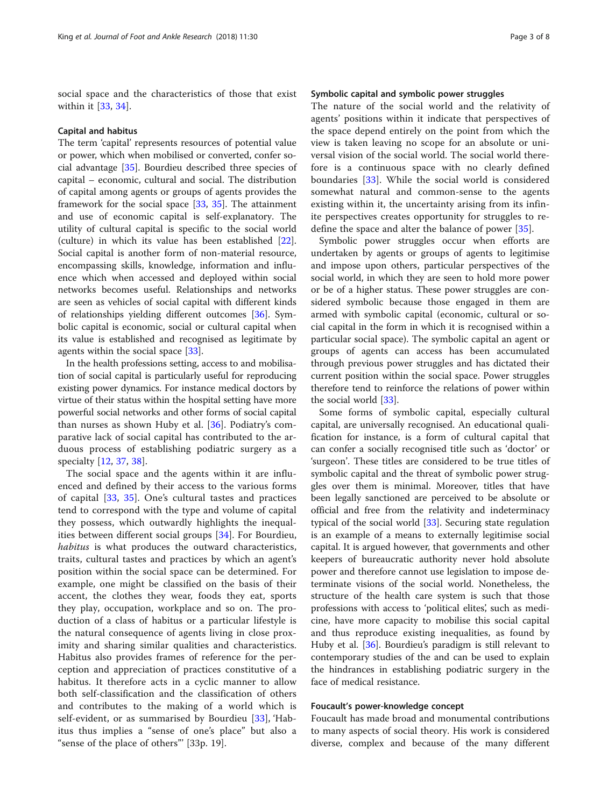social space and the characteristics of those that exist within it [\[33](#page-6-0), [34](#page-6-0)].

#### Capital and habitus

The term 'capital' represents resources of potential value or power, which when mobilised or converted, confer social advantage [\[35\]](#page-6-0). Bourdieu described three species of capital – economic, cultural and social. The distribution of capital among agents or groups of agents provides the framework for the social space [[33,](#page-6-0) [35](#page-6-0)]. The attainment and use of economic capital is self-explanatory. The utility of cultural capital is specific to the social world (culture) in which its value has been established [\[22](#page-6-0)]. Social capital is another form of non-material resource, encompassing skills, knowledge, information and influence which when accessed and deployed within social networks becomes useful. Relationships and networks are seen as vehicles of social capital with different kinds of relationships yielding different outcomes [\[36](#page-6-0)]. Symbolic capital is economic, social or cultural capital when its value is established and recognised as legitimate by agents within the social space [\[33](#page-6-0)].

In the health professions setting, access to and mobilisation of social capital is particularly useful for reproducing existing power dynamics. For instance medical doctors by virtue of their status within the hospital setting have more powerful social networks and other forms of social capital than nurses as shown Huby et al. [\[36](#page-6-0)]. Podiatry's comparative lack of social capital has contributed to the arduous process of establishing podiatric surgery as a specialty [[12,](#page-6-0) [37,](#page-6-0) [38](#page-6-0)].

The social space and the agents within it are influenced and defined by their access to the various forms of capital [[33,](#page-6-0) [35](#page-6-0)]. One's cultural tastes and practices tend to correspond with the type and volume of capital they possess, which outwardly highlights the inequalities between different social groups [\[34](#page-6-0)]. For Bourdieu, habitus is what produces the outward characteristics, traits, cultural tastes and practices by which an agent's position within the social space can be determined. For example, one might be classified on the basis of their accent, the clothes they wear, foods they eat, sports they play, occupation, workplace and so on. The production of a class of habitus or a particular lifestyle is the natural consequence of agents living in close proximity and sharing similar qualities and characteristics. Habitus also provides frames of reference for the perception and appreciation of practices constitutive of a habitus. It therefore acts in a cyclic manner to allow both self-classification and the classification of others and contributes to the making of a world which is self-evident, or as summarised by Bourdieu [[33\]](#page-6-0), 'Habitus thus implies a "sense of one's place" but also a "sense of the place of others"' [33p. 19].

# Symbolic capital and symbolic power struggles

The nature of the social world and the relativity of agents' positions within it indicate that perspectives of the space depend entirely on the point from which the view is taken leaving no scope for an absolute or universal vision of the social world. The social world therefore is a continuous space with no clearly defined boundaries [\[33](#page-6-0)]. While the social world is considered somewhat natural and common-sense to the agents existing within it, the uncertainty arising from its infinite perspectives creates opportunity for struggles to redefine the space and alter the balance of power [[35\]](#page-6-0).

Symbolic power struggles occur when efforts are undertaken by agents or groups of agents to legitimise and impose upon others, particular perspectives of the social world, in which they are seen to hold more power or be of a higher status. These power struggles are considered symbolic because those engaged in them are armed with symbolic capital (economic, cultural or social capital in the form in which it is recognised within a particular social space). The symbolic capital an agent or groups of agents can access has been accumulated through previous power struggles and has dictated their current position within the social space. Power struggles therefore tend to reinforce the relations of power within the social world [[33\]](#page-6-0).

Some forms of symbolic capital, especially cultural capital, are universally recognised. An educational qualification for instance, is a form of cultural capital that can confer a socially recognised title such as 'doctor' or 'surgeon'. These titles are considered to be true titles of symbolic capital and the threat of symbolic power struggles over them is minimal. Moreover, titles that have been legally sanctioned are perceived to be absolute or official and free from the relativity and indeterminacy typical of the social world [[33\]](#page-6-0). Securing state regulation is an example of a means to externally legitimise social capital. It is argued however, that governments and other keepers of bureaucratic authority never hold absolute power and therefore cannot use legislation to impose determinate visions of the social world. Nonetheless, the structure of the health care system is such that those professions with access to 'political elites', such as medicine, have more capacity to mobilise this social capital and thus reproduce existing inequalities, as found by Huby et al. [\[36\]](#page-6-0). Bourdieu's paradigm is still relevant to contemporary studies of the and can be used to explain the hindrances in establishing podiatric surgery in the face of medical resistance.

# Foucault's power-knowledge concept

Foucault has made broad and monumental contributions to many aspects of social theory. His work is considered diverse, complex and because of the many different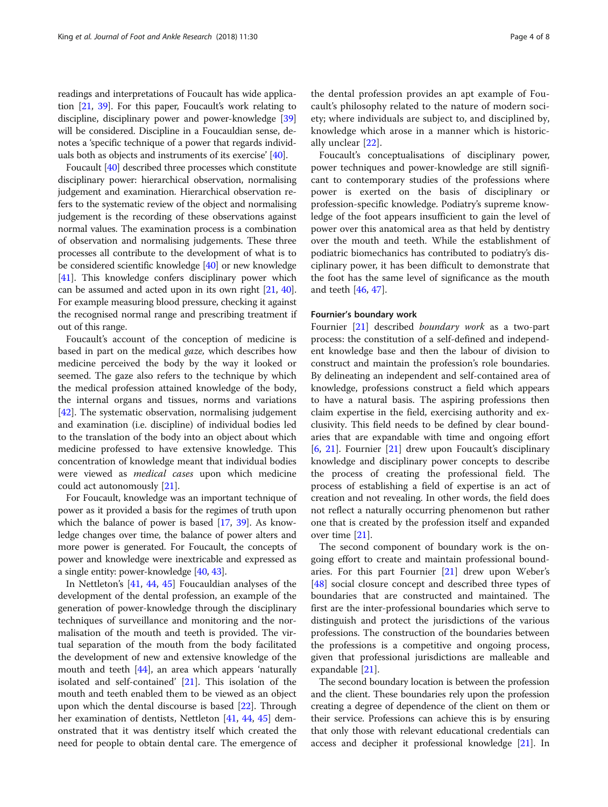Foucault [\[40\]](#page-7-0) described three processes which constitute disciplinary power: hierarchical observation, normalising judgement and examination. Hierarchical observation refers to the systematic review of the object and normalising judgement is the recording of these observations against normal values. The examination process is a combination of observation and normalising judgements. These three processes all contribute to the development of what is to be considered scientific knowledge [[40](#page-7-0)] or new knowledge [[41](#page-7-0)]. This knowledge confers disciplinary power which can be assumed and acted upon in its own right [[21](#page-6-0), [40](#page-7-0)]. For example measuring blood pressure, checking it against the recognised normal range and prescribing treatment if out of this range.

Foucault's account of the conception of medicine is based in part on the medical gaze, which describes how medicine perceived the body by the way it looked or seemed. The gaze also refers to the technique by which the medical profession attained knowledge of the body, the internal organs and tissues, norms and variations [[42\]](#page-7-0). The systematic observation, normalising judgement and examination (i.e. discipline) of individual bodies led to the translation of the body into an object about which medicine professed to have extensive knowledge. This concentration of knowledge meant that individual bodies were viewed as medical cases upon which medicine could act autonomously [\[21\]](#page-6-0).

For Foucault, knowledge was an important technique of power as it provided a basis for the regimes of truth upon which the balance of power is based [[17](#page-6-0), [39](#page-7-0)]. As knowledge changes over time, the balance of power alters and more power is generated. For Foucault, the concepts of power and knowledge were inextricable and expressed as a single entity: power-knowledge [\[40,](#page-7-0) [43](#page-7-0)].

In Nettleton's [[41,](#page-7-0) [44](#page-7-0), [45\]](#page-7-0) Foucauldian analyses of the development of the dental profession, an example of the generation of power-knowledge through the disciplinary techniques of surveillance and monitoring and the normalisation of the mouth and teeth is provided. The virtual separation of the mouth from the body facilitated the development of new and extensive knowledge of the mouth and teeth [[44\]](#page-7-0), an area which appears 'naturally isolated and self-contained' [[21\]](#page-6-0). This isolation of the mouth and teeth enabled them to be viewed as an object upon which the dental discourse is based [[22\]](#page-6-0). Through her examination of dentists, Nettleton [[41,](#page-7-0) [44](#page-7-0), [45\]](#page-7-0) demonstrated that it was dentistry itself which created the need for people to obtain dental care. The emergence of

the dental profession provides an apt example of Foucault's philosophy related to the nature of modern society; where individuals are subject to, and disciplined by, knowledge which arose in a manner which is historically unclear [[22\]](#page-6-0).

Foucault's conceptualisations of disciplinary power, power techniques and power-knowledge are still significant to contemporary studies of the professions where power is exerted on the basis of disciplinary or profession-specific knowledge. Podiatry's supreme knowledge of the foot appears insufficient to gain the level of power over this anatomical area as that held by dentistry over the mouth and teeth. While the establishment of podiatric biomechanics has contributed to podiatry's disciplinary power, it has been difficult to demonstrate that the foot has the same level of significance as the mouth and teeth [\[46](#page-7-0), [47](#page-7-0)].

#### Fournier's boundary work

Fournier [\[21](#page-6-0)] described boundary work as a two-part process: the constitution of a self-defined and independent knowledge base and then the labour of division to construct and maintain the profession's role boundaries. By delineating an independent and self-contained area of knowledge, professions construct a field which appears to have a natural basis. The aspiring professions then claim expertise in the field, exercising authority and exclusivity. This field needs to be defined by clear boundaries that are expandable with time and ongoing effort [[6,](#page-6-0) [21\]](#page-6-0). Fournier [[21\]](#page-6-0) drew upon Foucault's disciplinary knowledge and disciplinary power concepts to describe the process of creating the professional field. The process of establishing a field of expertise is an act of creation and not revealing. In other words, the field does not reflect a naturally occurring phenomenon but rather one that is created by the profession itself and expanded over time [[21\]](#page-6-0).

The second component of boundary work is the ongoing effort to create and maintain professional boundaries. For this part Fournier [[21\]](#page-6-0) drew upon Weber's [[48\]](#page-7-0) social closure concept and described three types of boundaries that are constructed and maintained. The first are the inter-professional boundaries which serve to distinguish and protect the jurisdictions of the various professions. The construction of the boundaries between the professions is a competitive and ongoing process, given that professional jurisdictions are malleable and expandable [[21\]](#page-6-0).

The second boundary location is between the profession and the client. These boundaries rely upon the profession creating a degree of dependence of the client on them or their service. Professions can achieve this is by ensuring that only those with relevant educational credentials can access and decipher it professional knowledge [[21](#page-6-0)]. In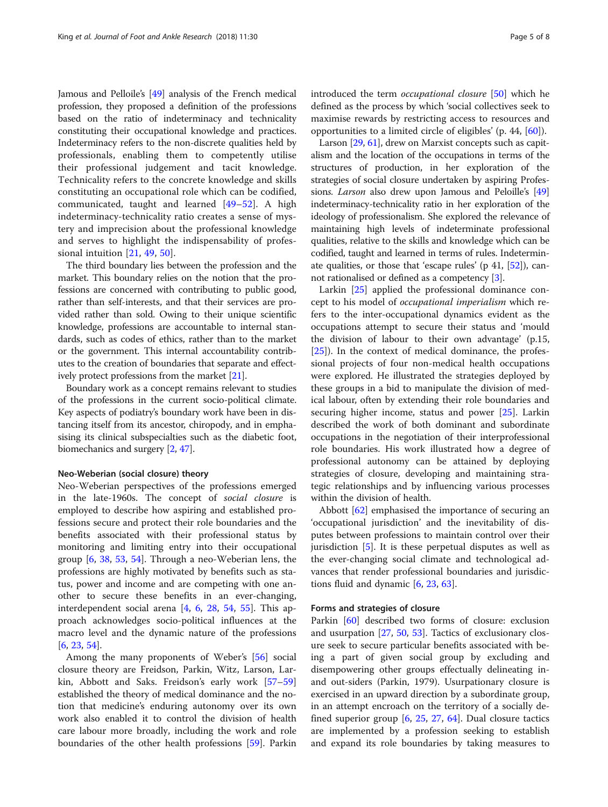Jamous and Pelloile's [\[49\]](#page-7-0) analysis of the French medical profession, they proposed a definition of the professions based on the ratio of indeterminacy and technicality constituting their occupational knowledge and practices. Indeterminacy refers to the non-discrete qualities held by professionals, enabling them to competently utilise their professional judgement and tacit knowledge. Technicality refers to the concrete knowledge and skills constituting an occupational role which can be codified, communicated, taught and learned [\[49](#page-7-0)–[52](#page-7-0)]. A high indeterminacy-technicality ratio creates a sense of mystery and imprecision about the professional knowledge and serves to highlight the indispensability of professional intuition [\[21](#page-6-0), [49](#page-7-0), [50\]](#page-7-0).

The third boundary lies between the profession and the market. This boundary relies on the notion that the professions are concerned with contributing to public good, rather than self-interests, and that their services are provided rather than sold. Owing to their unique scientific knowledge, professions are accountable to internal standards, such as codes of ethics, rather than to the market or the government. This internal accountability contributes to the creation of boundaries that separate and effectively protect professions from the market [\[21\]](#page-6-0).

Boundary work as a concept remains relevant to studies of the professions in the current socio-political climate. Key aspects of podiatry's boundary work have been in distancing itself from its ancestor, chiropody, and in emphasising its clinical subspecialties such as the diabetic foot, biomechanics and surgery [\[2](#page-6-0), [47\]](#page-7-0).

# Neo-Weberian (social closure) theory

Neo-Weberian perspectives of the professions emerged in the late-1960s. The concept of social closure is employed to describe how aspiring and established professions secure and protect their role boundaries and the benefits associated with their professional status by monitoring and limiting entry into their occupational group [\[6](#page-6-0), [38,](#page-6-0) [53,](#page-7-0) [54](#page-7-0)]. Through a neo-Weberian lens, the professions are highly motivated by benefits such as status, power and income and are competing with one another to secure these benefits in an ever-changing, interdependent social arena [\[4](#page-6-0), [6](#page-6-0), [28,](#page-6-0) [54,](#page-7-0) [55](#page-7-0)]. This approach acknowledges socio-political influences at the macro level and the dynamic nature of the professions [[6,](#page-6-0) [23,](#page-6-0) [54\]](#page-7-0).

Among the many proponents of Weber's [[56\]](#page-7-0) social closure theory are Freidson, Parkin, Witz, Larson, Larkin, Abbott and Saks. Freidson's early work [[57](#page-7-0)–[59](#page-7-0)] established the theory of medical dominance and the notion that medicine's enduring autonomy over its own work also enabled it to control the division of health care labour more broadly, including the work and role boundaries of the other health professions [[59](#page-7-0)]. Parkin introduced the term occupational closure [[50\]](#page-7-0) which he defined as the process by which 'social collectives seek to maximise rewards by restricting access to resources and opportunities to a limited circle of eligibles' (p. 44, [\[60](#page-7-0)]).

Larson [\[29,](#page-6-0) [61\]](#page-7-0), drew on Marxist concepts such as capitalism and the location of the occupations in terms of the structures of production, in her exploration of the strategies of social closure undertaken by aspiring Professions. *Larson* also drew upon Jamous and Peloille's [[49](#page-7-0)] indeterminacy-technicality ratio in her exploration of the ideology of professionalism. She explored the relevance of maintaining high levels of indeterminate professional qualities, relative to the skills and knowledge which can be codified, taught and learned in terms of rules. Indeterminate qualities, or those that 'escape rules' (p 41, [[52](#page-7-0)]), cannot rationalised or defined as a competency [[3](#page-6-0)].

Larkin [\[25](#page-6-0)] applied the professional dominance concept to his model of occupational imperialism which refers to the inter-occupational dynamics evident as the occupations attempt to secure their status and 'mould the division of labour to their own advantage' (p.15, [[25\]](#page-6-0)). In the context of medical dominance, the professional projects of four non-medical health occupations were explored. He illustrated the strategies deployed by these groups in a bid to manipulate the division of medical labour, often by extending their role boundaries and securing higher income, status and power [\[25\]](#page-6-0). Larkin described the work of both dominant and subordinate occupations in the negotiation of their interprofessional role boundaries. His work illustrated how a degree of professional autonomy can be attained by deploying strategies of closure, developing and maintaining strategic relationships and by influencing various processes within the division of health.

Abbott [[62\]](#page-7-0) emphasised the importance of securing an 'occupational jurisdiction' and the inevitability of disputes between professions to maintain control over their jurisdiction [\[5](#page-6-0)]. It is these perpetual disputes as well as the ever-changing social climate and technological advances that render professional boundaries and jurisdictions fluid and dynamic [[6,](#page-6-0) [23,](#page-6-0) [63\]](#page-7-0).

#### Forms and strategies of closure

Parkin [[60](#page-7-0)] described two forms of closure: exclusion and usurpation [\[27](#page-6-0), [50](#page-7-0), [53\]](#page-7-0). Tactics of exclusionary closure seek to secure particular benefits associated with being a part of given social group by excluding and disempowering other groups effectually delineating inand out-siders (Parkin, 1979). Usurpationary closure is exercised in an upward direction by a subordinate group, in an attempt encroach on the territory of a socially defined superior group [[6,](#page-6-0) [25](#page-6-0), [27,](#page-6-0) [64](#page-7-0)]. Dual closure tactics are implemented by a profession seeking to establish and expand its role boundaries by taking measures to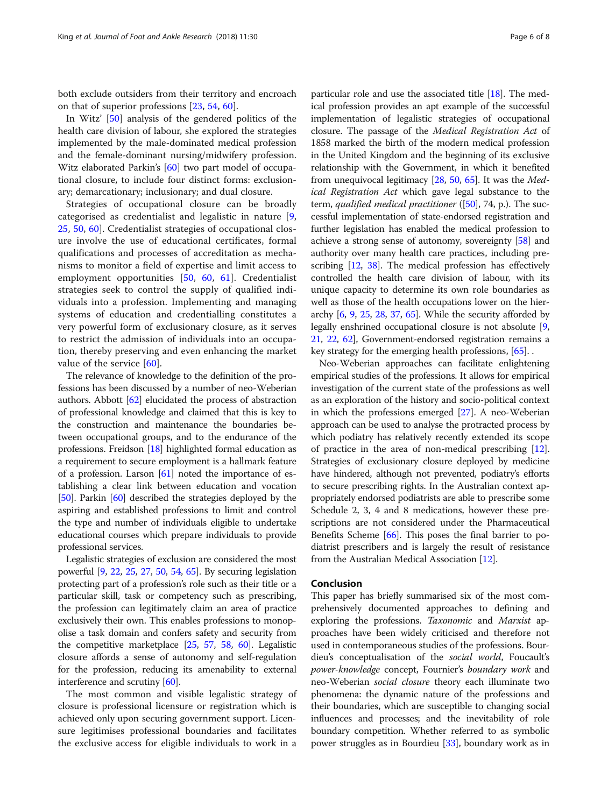both exclude outsiders from their territory and encroach on that of superior professions [[23](#page-6-0), [54](#page-7-0), [60](#page-7-0)].

In Witz' [\[50](#page-7-0)] analysis of the gendered politics of the health care division of labour, she explored the strategies implemented by the male-dominated medical profession and the female-dominant nursing/midwifery profession. Witz elaborated Parkin's [[60](#page-7-0)] two part model of occupational closure, to include four distinct forms: exclusionary; demarcationary; inclusionary; and dual closure.

Strategies of occupational closure can be broadly categorised as credentialist and legalistic in nature [\[9](#page-6-0), [25,](#page-6-0) [50,](#page-7-0) [60](#page-7-0)]. Credentialist strategies of occupational closure involve the use of educational certificates, formal qualifications and processes of accreditation as mechanisms to monitor a field of expertise and limit access to employment opportunities [[50,](#page-7-0) [60,](#page-7-0) [61](#page-7-0)]. Credentialist strategies seek to control the supply of qualified individuals into a profession. Implementing and managing systems of education and credentialling constitutes a very powerful form of exclusionary closure, as it serves to restrict the admission of individuals into an occupation, thereby preserving and even enhancing the market value of the service [\[60](#page-7-0)].

The relevance of knowledge to the definition of the professions has been discussed by a number of neo-Weberian authors. Abbott [[62](#page-7-0)] elucidated the process of abstraction of professional knowledge and claimed that this is key to the construction and maintenance the boundaries between occupational groups, and to the endurance of the professions. Freidson [\[18\]](#page-6-0) highlighted formal education as a requirement to secure employment is a hallmark feature of a profession. Larson  $[61]$  noted the importance of establishing a clear link between education and vocation [[50](#page-7-0)]. Parkin [[60](#page-7-0)] described the strategies deployed by the aspiring and established professions to limit and control the type and number of individuals eligible to undertake educational courses which prepare individuals to provide professional services.

Legalistic strategies of exclusion are considered the most powerful [\[9](#page-6-0), [22,](#page-6-0) [25,](#page-6-0) [27,](#page-6-0) [50](#page-7-0), [54](#page-7-0), [65](#page-7-0)]. By securing legislation protecting part of a profession's role such as their title or a particular skill, task or competency such as prescribing, the profession can legitimately claim an area of practice exclusively their own. This enables professions to monopolise a task domain and confers safety and security from the competitive marketplace [\[25,](#page-6-0) [57,](#page-7-0) [58](#page-7-0), [60](#page-7-0)]. Legalistic closure affords a sense of autonomy and self-regulation for the profession, reducing its amenability to external interference and scrutiny [\[60\]](#page-7-0).

The most common and visible legalistic strategy of closure is professional licensure or registration which is achieved only upon securing government support. Licensure legitimises professional boundaries and facilitates the exclusive access for eligible individuals to work in a

particular role and use the associated title [\[18](#page-6-0)]. The medical profession provides an apt example of the successful implementation of legalistic strategies of occupational closure. The passage of the Medical Registration Act of 1858 marked the birth of the modern medical profession in the United Kingdom and the beginning of its exclusive relationship with the Government, in which it benefited from unequivocal legitimacy [[28](#page-6-0), [50](#page-7-0), [65](#page-7-0)]. It was the Medical Registration Act which gave legal substance to the term, qualified medical practitioner ( $[50]$ , 74, p.). The successful implementation of state-endorsed registration and further legislation has enabled the medical profession to achieve a strong sense of autonomy, sovereignty [[58](#page-7-0)] and authority over many health care practices, including pre-scribing [[12](#page-6-0), [38\]](#page-6-0). The medical profession has effectively controlled the health care division of labour, with its unique capacity to determine its own role boundaries as well as those of the health occupations lower on the hierarchy  $[6, 9, 25, 28, 37, 65]$  $[6, 9, 25, 28, 37, 65]$  $[6, 9, 25, 28, 37, 65]$  $[6, 9, 25, 28, 37, 65]$  $[6, 9, 25, 28, 37, 65]$  $[6, 9, 25, 28, 37, 65]$  $[6, 9, 25, 28, 37, 65]$  $[6, 9, 25, 28, 37, 65]$  $[6, 9, 25, 28, 37, 65]$  $[6, 9, 25, 28, 37, 65]$  $[6, 9, 25, 28, 37, 65]$  $[6, 9, 25, 28, 37, 65]$  $[6, 9, 25, 28, 37, 65]$ . While the security afforded by legally enshrined occupational closure is not absolute [[9](#page-6-0), [21](#page-6-0), [22,](#page-6-0) [62\]](#page-7-0), Government-endorsed registration remains a key strategy for the emerging health professions, [[65](#page-7-0)]. .

Neo-Weberian approaches can facilitate enlightening empirical studies of the professions. It allows for empirical investigation of the current state of the professions as well as an exploration of the history and socio-political context in which the professions emerged [\[27](#page-6-0)]. A neo-Weberian approach can be used to analyse the protracted process by which podiatry has relatively recently extended its scope of practice in the area of non-medical prescribing [[12](#page-6-0)]. Strategies of exclusionary closure deployed by medicine have hindered, although not prevented, podiatry's efforts to secure prescribing rights. In the Australian context appropriately endorsed podiatrists are able to prescribe some Schedule 2, 3, 4 and 8 medications, however these prescriptions are not considered under the Pharmaceutical Benefits Scheme [[66](#page-7-0)]. This poses the final barrier to podiatrist prescribers and is largely the result of resistance from the Australian Medical Association [[12](#page-6-0)].

# Conclusion

This paper has briefly summarised six of the most comprehensively documented approaches to defining and exploring the professions. Taxonomic and Marxist approaches have been widely criticised and therefore not used in contemporaneous studies of the professions. Bourdieu's conceptualisation of the *social world*, Foucault's power-knowledge concept, Fournier's boundary work and neo-Weberian social closure theory each illuminate two phenomena: the dynamic nature of the professions and their boundaries, which are susceptible to changing social influences and processes; and the inevitability of role boundary competition. Whether referred to as symbolic power struggles as in Bourdieu [[33](#page-6-0)], boundary work as in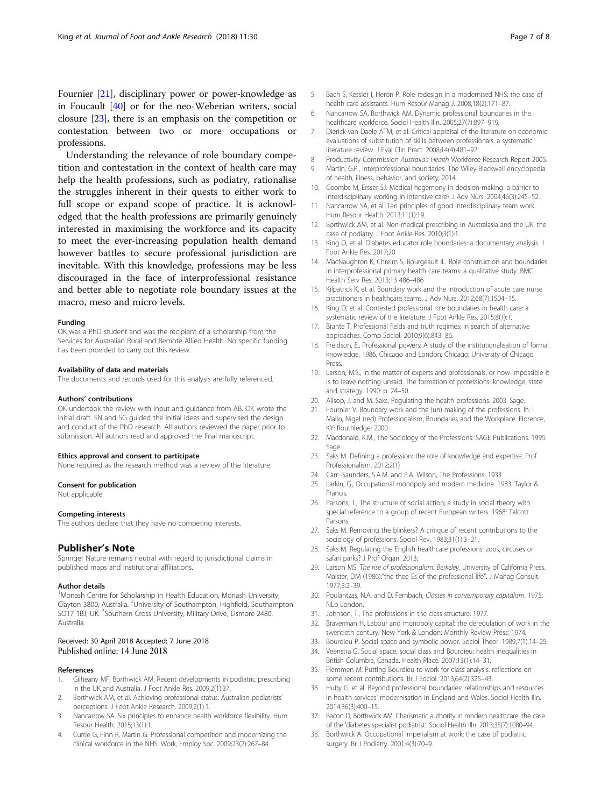<span id="page-6-0"></span>Fournier [21], disciplinary power or power-knowledge as in Foucault [[40](#page-7-0)] or for the neo-Weberian writers, social closure [23], there is an emphasis on the competition or contestation between two or more occupations or professions.

Understanding the relevance of role boundary competition and contestation in the context of health care may help the health professions, such as podiatry, rationalise the struggles inherent in their quests to either work to full scope or expand scope of practice. It is acknowledged that the health professions are primarily genuinely interested in maximising the workforce and its capacity to meet the ever-increasing population health demand however battles to secure professional jurisdiction are inevitable. With this knowledge, professions may be less discouraged in the face of interprofessional resistance and better able to negotiate role boundary issues at the macro, meso and micro levels.

#### Funding

OK was a PhD student and was the recipient of a scholarship from the Services for Australian Rural and Remote Allied Health. No specific funding has been provided to carry out this review.

#### Availability of data and materials

The documents and records used for this analysis are fully referenced.

#### Authors' contributions

OK undertook the review with input and guidance from AB. OK wrote the initial draft. SN and SG guided the initial ideas and supervised the design and conduct of the PhD research. All authors reviewed the paper prior to submission. All authors read and approved the final manuscript.

#### Ethics approval and consent to participate

None required as the research method was a review of the literature.

#### Consent for publication

Not applicable.

#### Competing interests

The authors declare that they have no competing interests.

#### Publisher's Note

Springer Nature remains neutral with regard to jurisdictional claims in published maps and institutional affiliations.

#### Author details

<sup>1</sup> Monash Centre for Scholarship in Health Education, Monash University, Clayton 3800, Australia. <sup>2</sup>University of Southampton, Highfield, Southampton SO17 1BJ, UK. <sup>3</sup>Southern Cross University, Military Drive, Lismore 2480, Australia.

# Received: 30 April 2018 Accepted: 7 June 2018 Published online: 14 June 2018

#### References

- 1. Gilheany MF, Borthwick AM. Recent developments in podiatric prescribing in the UK and Australia. J Foot Ankle Res. 2009;2(1):37.
- 2. Borthwick AM, et al. Achieving professional status: Australian podiatrists' perceptions. J Foot Ankle Research. 2009;2(1):1.
- 3. Nancarrow SA. Six principles to enhance health workforce flexibility. Hum Resour Health. 2015;13(1):1.
- 4. Currie G, Finn R, Martin G. Professional competition and modernizing the clinical workforce in the NHS. Work, Employ Soc. 2009;23(2):267–84.
- 5. Bach S, Kessler I, Heron P. Role redesign in a modernised NHS: the case of health care assistants. Hum Resour Manag J. 2008;18(2):171–87.
- 6. Nancarrow SA, Borthwick AM. Dynamic professional boundaries in the healthcare workforce. Sociol Health Illn. 2005;27(7):897–919.
- 7. Dierick-van Daele ATM, et al. Critical appraisal of the literature on economic evaluations of substitution of skills between professionals: a systematic literature review. J Eval Clin Pract. 2008;14(4):481–92.
- 8. Productivity Commission Australia's Health Workforce Research Report 2005. 9. Martin, G.P., Interprofessional boundaries. The Wiley Blackwell encyclopedia
- of health, illness, behavior, and society, 2014. 10. Coombs M, Ersser SJ. Medical hegemony in decision-making–a barrier to
- interdisciplinary working in intensive care? J Adv Nurs. 2004;46(3):245–52.
- 11. Nancarrow SA, et al. Ten principles of good interdisciplinary team work. Hum Resour Health. 2013;11(1):19.
- 12. Borthwick AM, et al. Non-medical prescribing in Australasia and the UK: the case of podiatry. J Foot Ankle Res. 2010;3(1):1.
- 13. King O, et al. Diabetes educator role boundaries: a documentary analysis. J Foot Ankle Res. 2017;20
- 14. MacNaughton K, Chreim S, Bourgeault IL, Role construction and boundaries in interprofessional primary health care teams: a qualitative study. BMC Health Serv Res. 2013;13 486–486
- 15. Kilpatrick K, et al. Boundary work and the introduction of acute care nurse practitioners in healthcare teams. J Adv Nurs. 2012;68(7):1504–15.
- 16. King O, et al. Contested professional role boundaries in health care: a systematic review of the literature. J Foot Ankle Res. 2015;8(1):1.
- 17. Brante T. Professional fields and truth regimes: in search of alternative approaches. Comp Sociol. 2010;9(6):843–86.
- 18. Freidson, E., Professional powers: A study of the institutionalisation of formal knowledge. 1986, Chicago and London: Chicago: University of Chicago Press.
- 19. Larson, M.S., In the matter of experts and professionals, or how impossible it is to leave nothing unsaid. The formation of professions: knowledge, state and strategy, 1990: p. 24–50.
- 20. Allsop, J. and M. Saks, Regulating the health professions. 2003: Sage.
- 21. Fournier V. Boundary work and the (un) making of the professions. In: I Malin, Nigel (red) Professionalism, Boundaries and the Workplace. Florence, KY: Routhledge; 2000.
- 22. Macdonald, K.M., The Sociology of the Professions: SAGE Publications. 1995: Sage
- 23. Saks M. Defining a profession: the role of knowledge and expertise. Prof Professionalism. 2012;2(1)
- 24. Carr -Saunders, S.A.M. and P.A. Wilson, The Professions. 1933.
- 25. Larkin, G., Occupational monopoly and modern medicine. 1983: Taylor & Francis.
- 26. Parsons, T., The structure of social action; a study in social theory with special reference to a group of recent European writers. 1968: Talcott Parsons.
- 27. Saks M. Removing the blinkers? A critique of recent contributions to the sociology of professions. Sociol Rev. 1983;31(1):3–21.
- 28. Saks M. Regulating the English healthcare professions: zoos, circuses or safari parks? J Prof Organ. 2013;
- 29. Larson MS. The rise of professionalism. Berkeley. University of California Press. Maister, DM (1986):"the thee Es of the professional life". J Manag Consult. 1977;3:2–39.
- 30. Poulantzas, N.A. and D. Fernbach, Classes in contemporary capitalism. 1975: NLb London.
- 31. Johnson, T., The professions in the class structure. 1977.
- 32. Braverman H. Labour and monopoly capital: the deregulation of work in the twentieth century. New York & London: Monthly Review Press; 1974.
- 33. Bourdieu P. Social space and symbolic power. Sociol Theor. 1989;7(1):14–25.
- 34. Veenstra G. Social space, social class and Bourdieu: health inequalities in British Columbia, Canada. Health Place. 2007;13(1):14–31.
- 35. Flemmen M. Putting Bourdieu to work for class analysis: reflections on some recent contributions. Br J Sociol. 2013;64(2):325–43.
- 36. Huby G, et al. Beyond professional boundaries: relationships and resources in health services' modernisation in England and Wales. Sociol Health Illn. 2014;36(3):400–15.
- 37. Bacon D, Borthwick AM. Charismatic authority in modern healthcare: the case of the 'diabetes specialist podiatrist'. Sociol Health Illn. 2013;35(7):1080–94.
- 38. Borthwick A. Occupational imperialism at work: the case of podiatric surgery. Br J Podiatry. 2001;4(3):70–9.